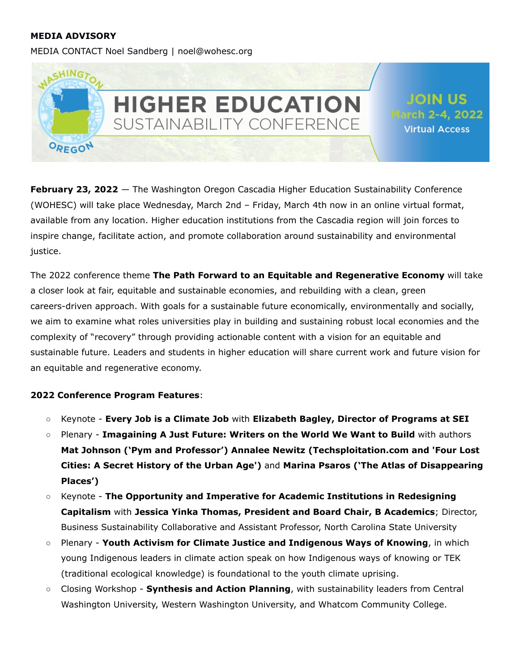#### **MEDIA ADVISORY**

MEDIA CONTACT Noel Sandberg | noel@wohesc.org



**February 23, 2022** — The Washington Oregon Cascadia Higher Education Sustainability Conference (WOHESC) will take place Wednesday, March 2nd – Friday, March 4th now in an online virtual format, available from any location. Higher education institutions from the Cascadia region will join forces to inspire change, facilitate action, and promote collaboration around sustainability and environmental justice.

The 2022 conference theme **The Path Forward to an Equitable and Regenerative Economy** will take a closer look at fair, equitable and sustainable economies, and rebuilding with a clean, green careers-driven approach. With goals for a sustainable future economically, environmentally and socially, we aim to examine what roles universities play in building and sustaining robust local economies and the complexity of "recovery" through providing actionable content with a vision for an equitable and sustainable future. Leaders and students in higher education will share current work and future vision for an equitable and regenerative economy.

#### **2022 Conference Program Features**:

- Keynote **Every Job is a Climate Job** with **Elizabeth Bagley, Director of Programs at SEI**
- Plenary **Imagaining A Just Future: Writers on the World We Want to Build** with authors **Mat Johnson ('Pym and Professor') Annalee Newitz (Techsploitation.com and 'Four Lost Cities: A Secret History of the Urban Age')** and **[Marina](https://www.wohesc.org/speakers/#MaPs) Psaros ('The Atlas of Disappearing Places')**
- Keynote **The Opportunity and Imperative for Academic Institutions in Redesigning Capitalism** with **Jessica Yinka Thomas, President and Board Chair, B Academics**; Director, Business Sustainability Collaborative and Assistant Professor, North Carolina State University
- Plenary **Youth Activism for Climate Justice and Indigenous Ways of Knowing**, in which young Indigenous leaders in climate action speak on how Indigenous ways of knowing or TEK (traditional ecological knowledge) is foundational to the youth climate uprising.
- Closing Workshop **Synthesis and Action Planning**, with sustainability leaders from Central Washington University, Western Washington University, and Whatcom Community College.